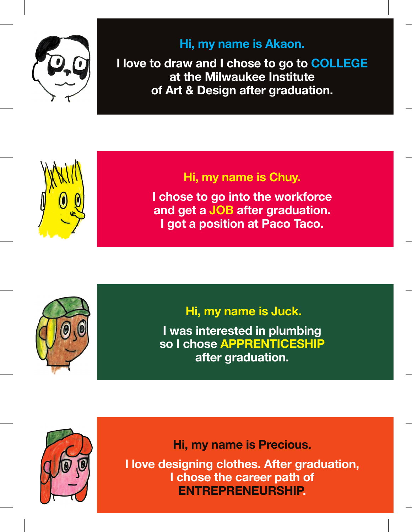

## **Hi, my name is Akaon.**

**I love to draw and I chose to go to COLLEGE at the Milwaukee Institute of Art & Design after graduation.**



## **Hi, my name is Chuy.**

**I chose to go into the workforce and get a JOB after graduation. I got a position at Paco Taco.**



 **Hi, my name is Juck.**

**I was interested in plumbing so I chose APPRENTICESHIP after graduation.** 



**Hi, my name is Precious.**

**I love designing clothes. After graduation, I chose the career path of ENTREPRENEURSHIP.**